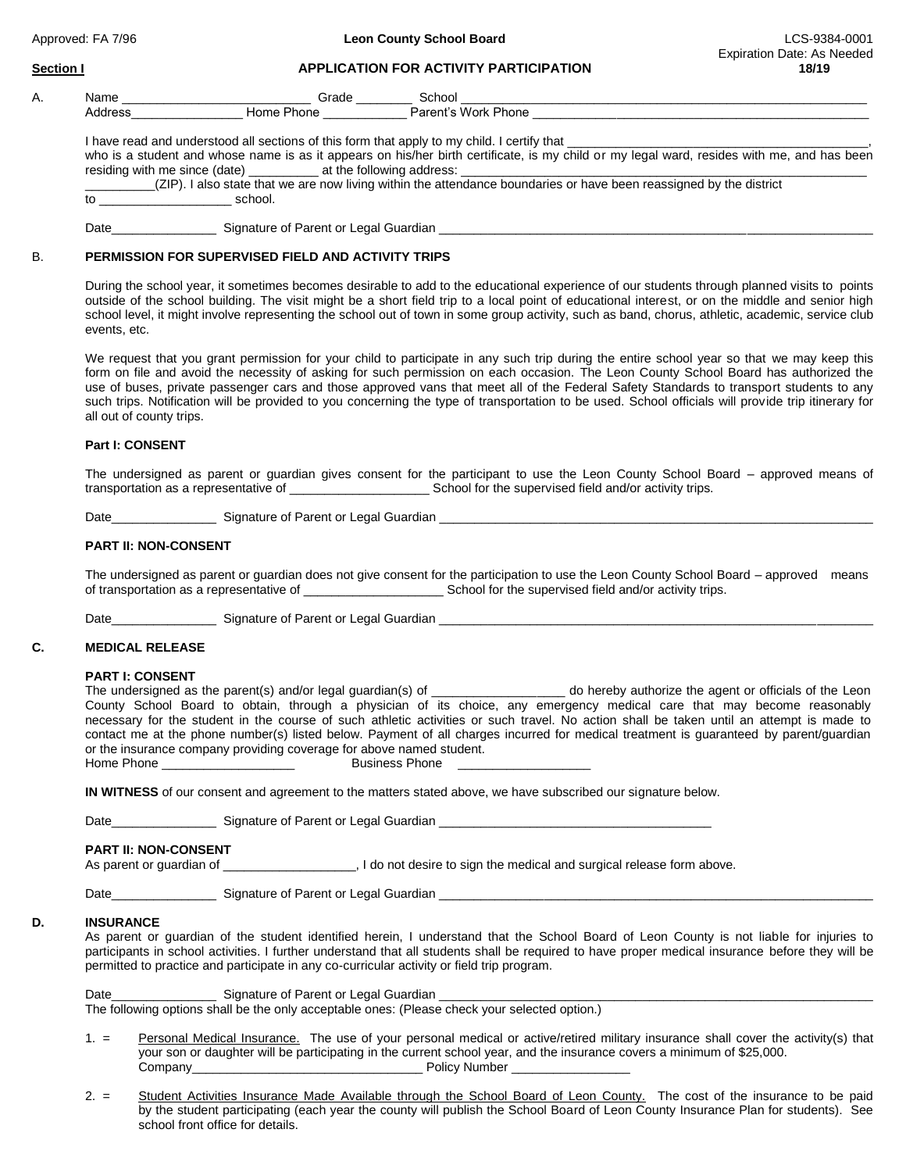## **Section I APPLICATION FOR ACTIVITY PARTICIPATION 18/19**

| ч. | Name         | Grade  | Schoo           |
|----|--------------|--------|-----------------|
|    | Addres:<br>. | סו וטו | חר<br>one<br>о. |

I have read and understood all sections of this form that apply to my child. I certify that

who is a student and whose name is as it appears on his/her birth certificate, is my child or my legal ward, resides with me, and has been residing with me since (date) at the following address: residing with me since (date)

|         | _(ZIP). I also state that we are now living within the attendance boundaries or have been reassigned by the district |  |
|---------|----------------------------------------------------------------------------------------------------------------------|--|
| school. |                                                                                                                      |  |

Date\_\_\_\_\_\_\_\_\_\_\_\_\_\_\_ Signature of Parent or Legal Guardian \_\_\_\_\_\_\_\_\_\_\_\_\_\_\_\_\_\_\_\_\_\_\_\_\_\_\_\_\_\_\_\_\_\_\_\_\_\_\_\_\_\_\_\_\_\_\_\_\_\_\_\_\_\_\_\_\_\_\_\_\_\_

## B. **PERMISSION FOR SUPERVISED FIELD AND ACTIVITY TRIPS**

During the school year, it sometimes becomes desirable to add to the educational experience of our students through planned visits to points outside of the school building. The visit might be a short field trip to a local point of educational interest, or on the middle and senior high school level, it might involve representing the school out of town in some group activity, such as band, chorus, athletic, academic, service club events, etc.

 We request that you grant permission for your child to participate in any such trip during the entire school year so that we may keep this form on file and avoid the necessity of asking for such permission on each occasion. The Leon County School Board has authorized the use of buses, private passenger cars and those approved vans that meet all of the Federal Safety Standards to transport students to any such trips. Notification will be provided to you concerning the type of transportation to be used. School officials will provide trip itinerary for all out of county trips.

### **Part I: CONSENT**

 The undersigned as parent or guardian gives consent for the participant to use the Leon County School Board – approved means of transportation as a representative of \_\_\_\_\_\_\_\_\_\_\_\_\_\_\_\_\_\_\_\_ School for the supervised field and/or activity trips.

Date **Date** Signature of Parent or Legal Guardian

# **PART II: NON-CONSENT**

The undersigned as parent or guardian does not give consent for the participation to use the Leon County School Board – approved means of transportation as a representative of \_\_\_\_\_\_\_\_\_\_\_\_\_\_\_\_\_\_\_\_ School for the supervised field and/or activity trips.

Date\_\_\_\_\_\_\_\_\_\_\_\_\_\_\_ Signature of Parent or Legal Guardian \_\_\_\_\_\_\_\_\_\_\_\_\_\_\_\_\_\_\_\_\_\_\_\_\_\_\_\_\_\_\_\_\_\_\_\_\_\_\_\_\_\_\_\_\_\_\_\_\_\_\_\_\_\_\_\_\_\_\_\_\_\_

# **C. MEDICAL RELEASE**

## **PART I: CONSENT**

The undersigned as the parent(s) and/or legal guardian(s) of \_\_\_\_\_\_\_\_\_\_\_\_\_\_\_\_\_\_\_ do hereby authorize the agent or officials of the Leon County School Board to obtain, through a physician of its choice, any emergency medical care that may become reasonably necessary for the student in the course of such athletic activities or such travel. No action shall be taken until an attempt is made to contact me at the phone number(s) listed below. Payment of all charges incurred for medical treatment is guaranteed by parent/guardian or the insurance company providing coverage for above named student. Home Phone \_\_\_\_\_\_\_\_\_\_\_\_\_\_\_\_\_\_\_ Business Phone \_\_\_\_\_\_\_\_\_\_\_\_\_\_\_\_\_\_\_

**IN WITNESS** of our consent and agreement to the matters stated above, we have subscribed our signature below.

Date\_\_\_\_\_\_\_\_\_\_\_\_\_\_\_\_\_\_\_\_\_\_\_\_ Signature of Parent or Legal Guardian \_\_

**PART II: NON-CONSENT**<br>As parent or guardian of \_\_\_\_\_ As paradian or guardian of desire to sign the medical and surgical release form above.

Date **Date Contract Contract Signature of Parent or Legal Guardian**  Date

### **D. INSURANCE**

As parent or guardian of the student identified herein, I understand that the School Board of Leon County is not liable for injuries to participants in school activities. I further understand that all students shall be required to have proper medical insurance before they will be permitted to practice and participate in any co-curricular activity or field trip program.

 Date\_\_\_\_\_\_\_\_\_\_\_\_\_\_\_ Signature of Parent or Legal Guardian \_\_\_\_\_\_\_\_\_\_\_\_\_\_\_\_\_\_\_\_\_\_\_\_\_\_\_\_\_\_\_\_\_\_\_\_\_\_\_\_\_\_\_\_\_\_\_\_\_\_\_\_\_\_\_\_\_\_\_\_\_\_ The following options shall be the only acceptable ones: (Please check your selected option.)

- 1. = Personal Medical Insurance. The use of your personal medical or active/retired military insurance shall cover the activity(s) that your son or daughter will be participating in the current school year, and the insurance covers a minimum of \$25,000. Company Company **Company Company Company Company Company Company Company Company Company Company Company Company Company Company Company Company Company Company Company Company Compa**
- 2. = Student Activities Insurance Made Available through the School Board of Leon County. The cost of the insurance to be paid by the student participating (each year the county will publish the School Board of Leon County Insurance Plan for students). See school front office for details.